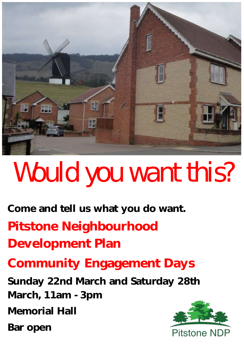

# Would you want this?

**Come and tell us what you do want. Pitstone Neighbourhood Development Plan** 

**Community Engagement Days**

**Sunday 22nd March and Saturday 28th March, 11am - 3pm**

**Memorial Hall**

**Bar open**